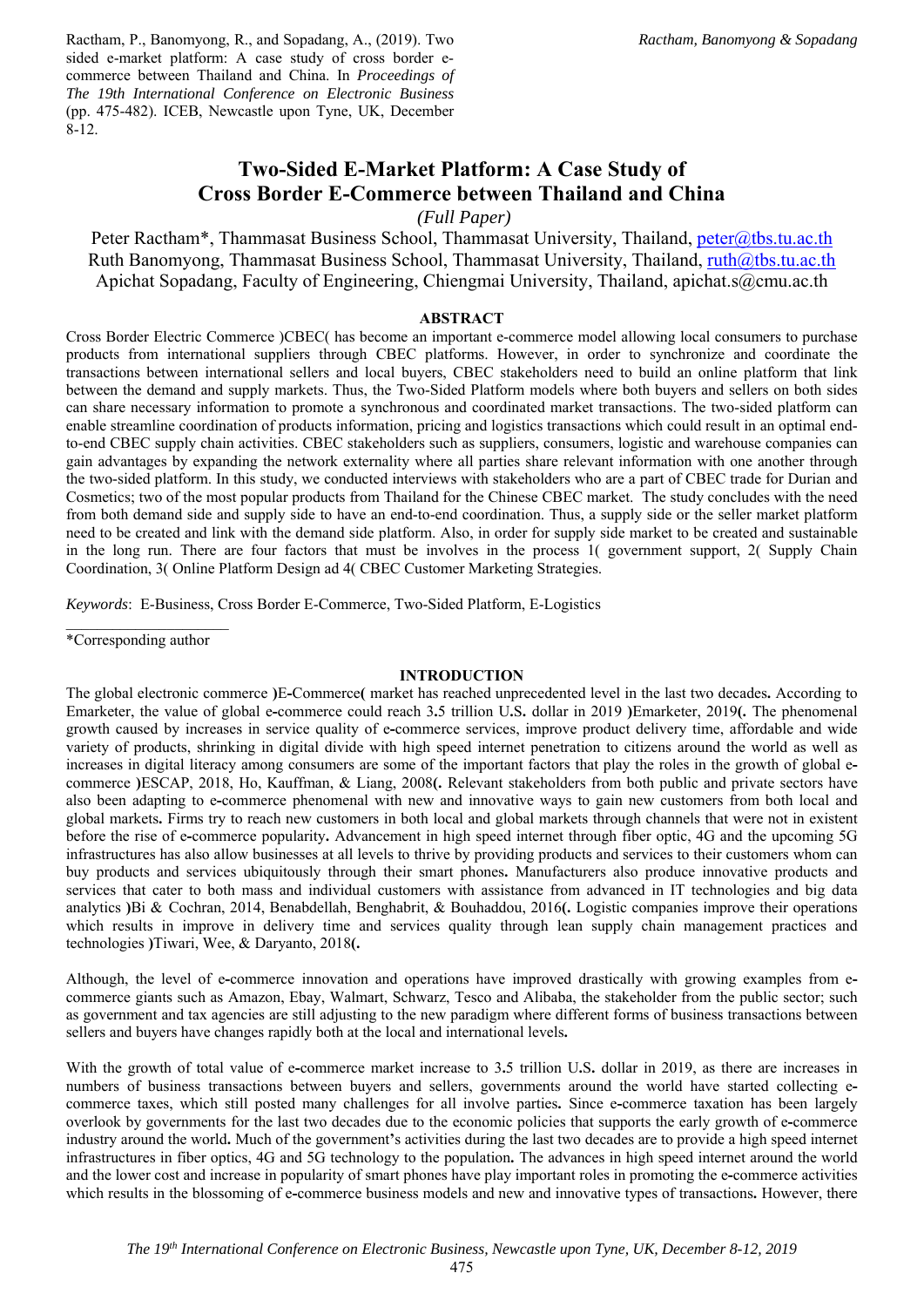Ractham, P., Banomyong, R., and Sopadang, A., (2019). Two sided e-market platform: A case study of cross border ecommerce between Thailand and China. In *Proceedings of The 19th International Conference on Electronic Business* (pp. 475-482). ICEB, Newcastle upon Tyne, UK, December 8-12.

# **Two-Sided E-Market Platform: A Case Study of Cross Border E-Commerce between Thailand and China**

 *(Full Paper)* 

Peter Ractham\*, Thammasat Business School, Thammasat University, Thailand, peter@tbs.tu.ac.th Ruth Banomyong, Thammasat Business School, Thammasat University, Thailand,  $ruth@tbs.tu.ac.th$ Apichat Sopadang, Faculty of Engineering, Chiengmai University, Thailand, apichat.s@cmu.ac.th

### **ABSTRACT**

Cross Border Electric Commerce )CBEC( has become an important e-commerce model allowing local consumers to purchase products from international suppliers through CBEC platforms. However, in order to synchronize and coordinate the transactions between international sellers and local buyers, CBEC stakeholders need to build an online platform that link between the demand and supply markets. Thus, the Two-Sided Platform models where both buyers and sellers on both sides can share necessary information to promote a synchronous and coordinated market transactions. The two-sided platform can enable streamline coordination of products information, pricing and logistics transactions which could result in an optimal endto-end CBEC supply chain activities. CBEC stakeholders such as suppliers, consumers, logistic and warehouse companies can gain advantages by expanding the network externality where all parties share relevant information with one another through the two-sided platform. In this study, we conducted interviews with stakeholders who are a part of CBEC trade for Durian and Cosmetics; two of the most popular products from Thailand for the Chinese CBEC market. The study concludes with the need from both demand side and supply side to have an end-to-end coordination. Thus, a supply side or the seller market platform need to be created and link with the demand side platform. Also, in order for supply side market to be created and sustainable in the long run. There are four factors that must be involves in the process 1( government support, 2( Supply Chain Coordination, 3( Online Platform Design ad 4( CBEC Customer Marketing Strategies.

*Keywords*: E-Business, Cross Border E-Commerce, Two-Sided Platform, E-Logistics

\*Corresponding author

### **INTRODUCTION**

The global electronic commerce **)**E**-**Commerce**(** market has reached unprecedented level in the last two decades**.** According to Emarketer, the value of global e**-**commerce could reach 3**.**5 trillion U**.**S**.** dollar in 2019 **)**Emarketer, 2019**(.** The phenomenal growth caused by increases in service quality of e**-**commerce services, improve product delivery time, affordable and wide variety of products, shrinking in digital divide with high speed internet penetration to citizens around the world as well as increases in digital literacy among consumers are some of the important factors that play the roles in the growth of global ecommerce **)**ESCAP, 2018, Ho, Kauffman, & Liang, 2008**(.** Relevant stakeholders from both public and private sectors have also been adapting to e**-**commerce phenomenal with new and innovative ways to gain new customers from both local and global markets**.** Firms try to reach new customers in both local and global markets through channels that were not in existent before the rise of e**-**commerce popularity**.** Advancement in high speed internet through fiber optic, 4G and the upcoming 5G infrastructures has also allow businesses at all levels to thrive by providing products and services to their customers whom can buy products and services ubiquitously through their smart phones**.** Manufacturers also produce innovative products and services that cater to both mass and individual customers with assistance from advanced in IT technologies and big data analytics **)**Bi & Cochran, 2014, Benabdellah, Benghabrit, & Bouhaddou, 2016**(.** Logistic companies improve their operations which results in improve in delivery time and services quality through lean supply chain management practices and technologies **)**Tiwari, Wee, & Daryanto, 2018**(.**

Although, the level of e**-**commerce innovation and operations have improved drastically with growing examples from ecommerce giants such as Amazon, Ebay, Walmart, Schwarz, Tesco and Alibaba, the stakeholder from the public sector; such as government and tax agencies are still adjusting to the new paradigm where different forms of business transactions between sellers and buyers have changes rapidly both at the local and international levels**.** 

With the growth of total value of e**-**commerce market increase to 3**.**5 trillion U**.**S**.** dollar in 2019, as there are increases in numbers of business transactions between buyers and sellers, governments around the world have started collecting ecommerce taxes, which still posted many challenges for all involve parties**.** Since e**-**commerce taxation has been largely overlook by governments for the last two decades due to the economic policies that supports the early growth of e**-**commerce industry around the world**.** Much of the government**'**s activities during the last two decades are to provide a high speed internet infrastructures in fiber optics, 4G and 5G technology to the population**.** The advances in high speed internet around the world and the lower cost and increase in popularity of smart phones have play important roles in promoting the e**-**commerce activities which results in the blossoming of e-commerce business models and new and innovative types of transactions. However, there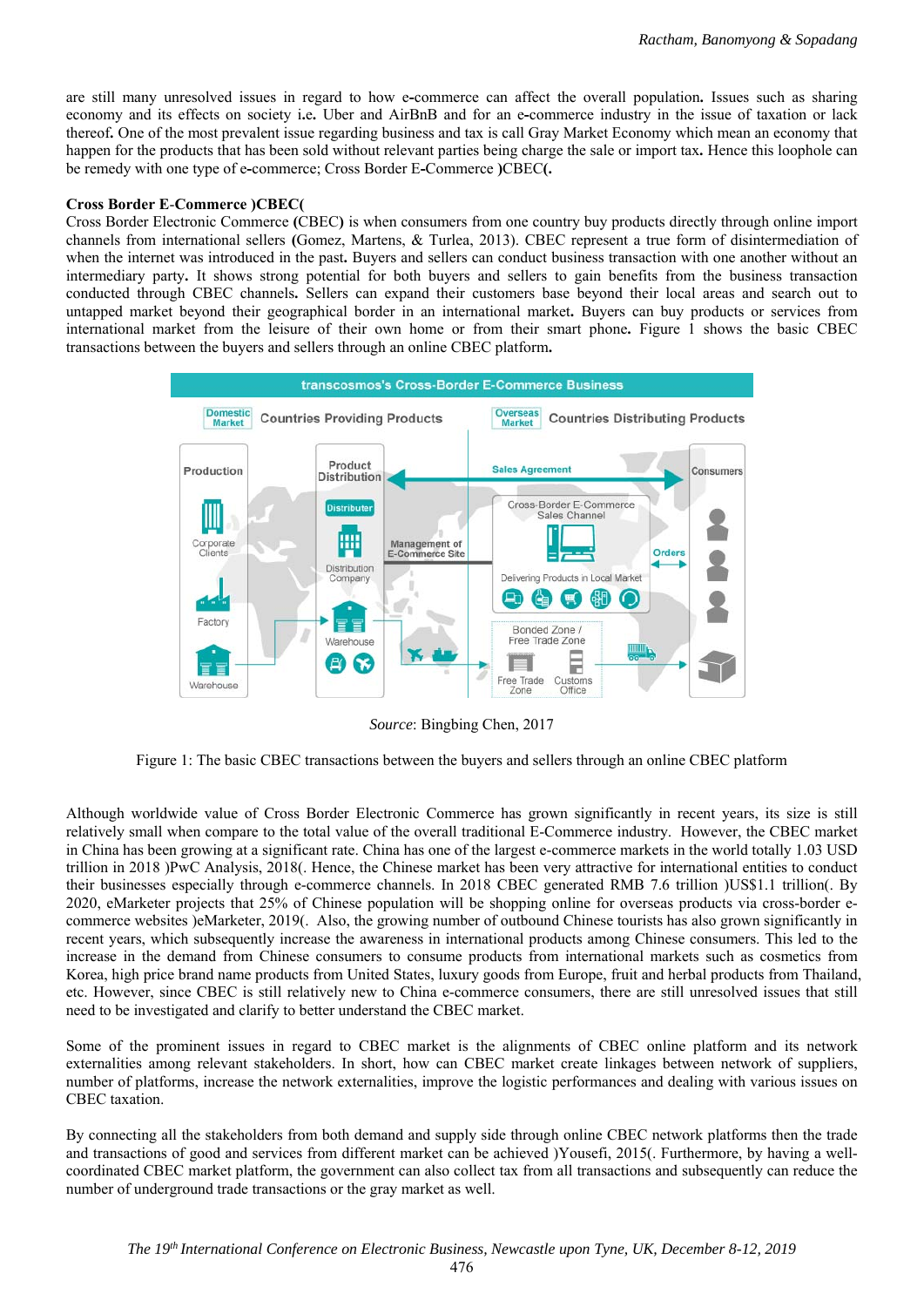are still many unresolved issues in regard to how e**-**commerce can affect the overall population**.** Issues such as sharing economy and its effects on society i**.**e**.** Uber and AirBnB and for an e**-**commerce industry in the issue of taxation or lack thereof**.** One of the most prevalent issue regarding business and tax is call Gray Market Economy which mean an economy that happen for the products that has been sold without relevant parties being charge the sale or import tax**.** Hence this loophole can be remedy with one type of e**-**commerce; Cross Border E**-**Commerce **)**CBEC**(.** 

# **Cross Border E**-**Commerce )CBEC(**

Cross Border Electronic Commerce **(**CBEC**)** is when consumers from one country buy products directly through online import channels from international sellers **(**Gomez, Martens, & Turlea, 2013). CBEC represent a true form of disintermediation of when the internet was introduced in the past. Buyers and sellers can conduct business transaction with one another without an intermediary party**.** It shows strong potential for both buyers and sellers to gain benefits from the business transaction conducted through CBEC channels**.** Sellers can expand their customers base beyond their local areas and search out to untapped market beyond their geographical border in an international market**.** Buyers can buy products or services from international market from the leisure of their own home or from their smart phone**.** Figure 1 shows the basic CBEC transactions between the buyers and sellers through an online CBEC platform**.** 



*Source*: Bingbing Chen, 2017

Figure 1: The basic CBEC transactions between the buyers and sellers through an online CBEC platform

Although worldwide value of Cross Border Electronic Commerce has grown significantly in recent years, its size is still relatively small when compare to the total value of the overall traditional E-Commerce industry. However, the CBEC market in China has been growing at a significant rate. China has one of the largest e-commerce markets in the world totally 1.03 USD trillion in 2018 )PwC Analysis, 2018(. Hence, the Chinese market has been very attractive for international entities to conduct their businesses especially through e-commerce channels. In 2018 CBEC generated RMB 7.6 trillion )US\$1.1 trillion(. By 2020, eMarketer projects that 25% of Chinese population will be shopping online for overseas products via cross-border ecommerce websites )eMarketer, 2019(. Also, the growing number of outbound Chinese tourists has also grown significantly in recent years, which subsequently increase the awareness in international products among Chinese consumers. This led to the increase in the demand from Chinese consumers to consume products from international markets such as cosmetics from Korea, high price brand name products from United States, luxury goods from Europe, fruit and herbal products from Thailand, etc. However, since CBEC is still relatively new to China e-commerce consumers, there are still unresolved issues that still need to be investigated and clarify to better understand the CBEC market.

Some of the prominent issues in regard to CBEC market is the alignments of CBEC online platform and its network externalities among relevant stakeholders. In short, how can CBEC market create linkages between network of suppliers, number of platforms, increase the network externalities, improve the logistic performances and dealing with various issues on CBEC taxation.

By connecting all the stakeholders from both demand and supply side through online CBEC network platforms then the trade and transactions of good and services from different market can be achieved )Yousefi, 2015(. Furthermore, by having a wellcoordinated CBEC market platform, the government can also collect tax from all transactions and subsequently can reduce the number of underground trade transactions or the gray market as well.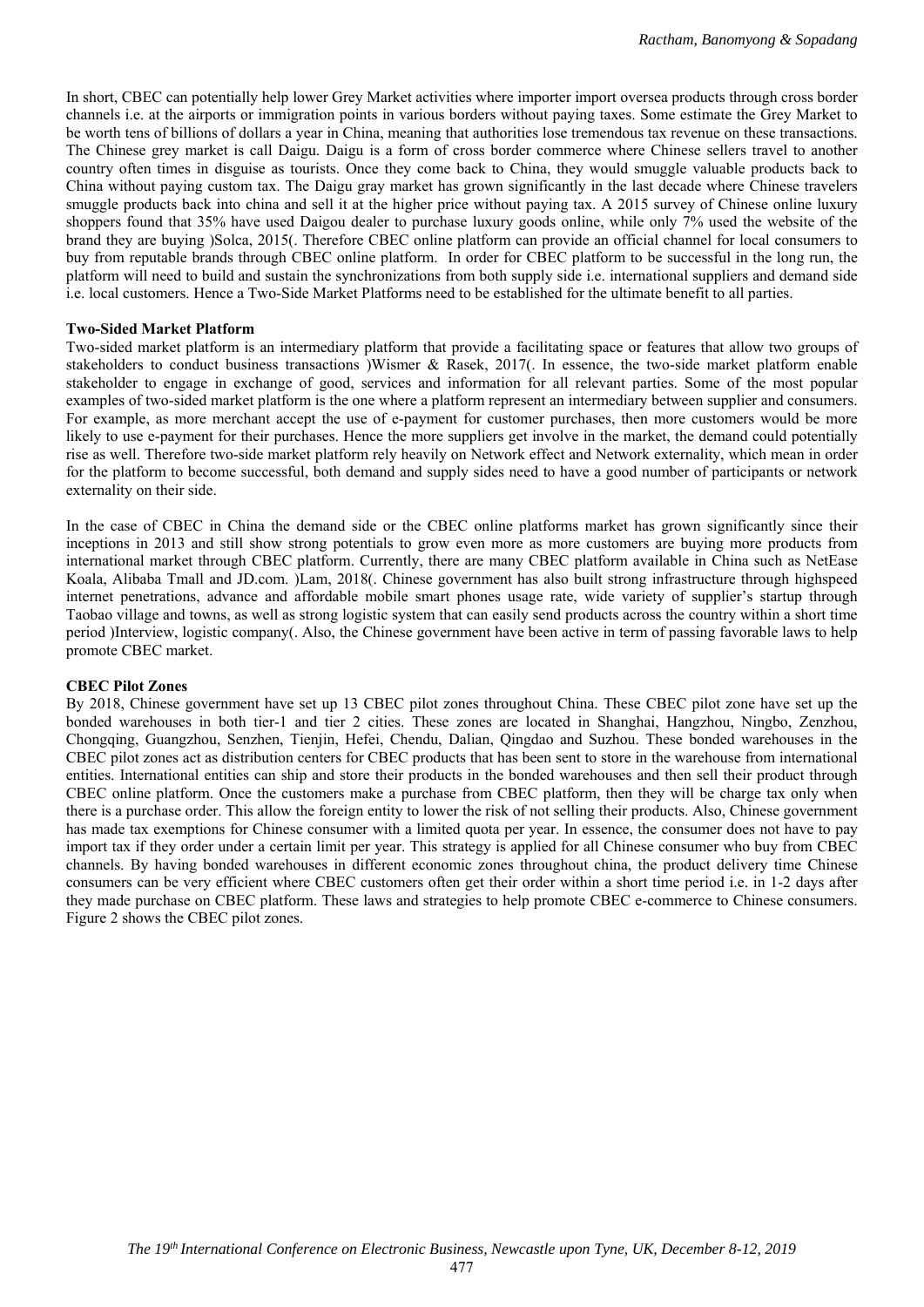In short, CBEC can potentially help lower Grey Market activities where importer import oversea products through cross border channels i.e. at the airports or immigration points in various borders without paying taxes. Some estimate the Grey Market to be worth tens of billions of dollars a year in China, meaning that authorities lose tremendous tax revenue on these transactions. The Chinese grey market is call Daigu. Daigu is a form of cross border commerce where Chinese sellers travel to another country often times in disguise as tourists. Once they come back to China, they would smuggle valuable products back to China without paying custom tax. The Daigu gray market has grown significantly in the last decade where Chinese travelers smuggle products back into china and sell it at the higher price without paying tax. A 2015 survey of Chinese online luxury shoppers found that 35% have used Daigou dealer to purchase luxury goods online, while only 7% used the website of the brand they are buying )Solca, 2015(. Therefore CBEC online platform can provide an official channel for local consumers to buy from reputable brands through CBEC online platform. In order for CBEC platform to be successful in the long run, the platform will need to build and sustain the synchronizations from both supply side i.e. international suppliers and demand side i.e. local customers. Hence a Two-Side Market Platforms need to be established for the ultimate benefit to all parties.

#### **Two-Sided Market Platform**

Two-sided market platform is an intermediary platform that provide a facilitating space or features that allow two groups of stakeholders to conduct business transactions )Wismer & Rasek, 2017(. In essence, the two-side market platform enable stakeholder to engage in exchange of good, services and information for all relevant parties. Some of the most popular examples of two-sided market platform is the one where a platform represent an intermediary between supplier and consumers. For example, as more merchant accept the use of e-payment for customer purchases, then more customers would be more likely to use e-payment for their purchases. Hence the more suppliers get involve in the market, the demand could potentially rise as well. Therefore two-side market platform rely heavily on Network effect and Network externality, which mean in order for the platform to become successful, both demand and supply sides need to have a good number of participants or network externality on their side.

In the case of CBEC in China the demand side or the CBEC online platforms market has grown significantly since their inceptions in 2013 and still show strong potentials to grow even more as more customers are buying more products from international market through CBEC platform. Currently, there are many CBEC platform available in China such as NetEase Koala, Alibaba Tmall and JD.com. )Lam, 2018(. Chinese government has also built strong infrastructure through highspeed internet penetrations, advance and affordable mobile smart phones usage rate, wide variety of supplier's startup through Taobao village and towns, as well as strong logistic system that can easily send products across the country within a short time period )Interview, logistic company(. Also, the Chinese government have been active in term of passing favorable laws to help promote CBEC market.

## **CBEC Pilot Zones**

By 2018, Chinese government have set up 13 CBEC pilot zones throughout China. These CBEC pilot zone have set up the bonded warehouses in both tier-1 and tier 2 cities. These zones are located in Shanghai, Hangzhou, Ningbo, Zenzhou, Chongqing, Guangzhou, Senzhen, Tienjin, Hefei, Chendu, Dalian, Qingdao and Suzhou. These bonded warehouses in the CBEC pilot zones act as distribution centers for CBEC products that has been sent to store in the warehouse from international entities. International entities can ship and store their products in the bonded warehouses and then sell their product through CBEC online platform. Once the customers make a purchase from CBEC platform, then they will be charge tax only when there is a purchase order. This allow the foreign entity to lower the risk of not selling their products. Also, Chinese government has made tax exemptions for Chinese consumer with a limited quota per year. In essence, the consumer does not have to pay import tax if they order under a certain limit per year. This strategy is applied for all Chinese consumer who buy from CBEC channels. By having bonded warehouses in different economic zones throughout china, the product delivery time Chinese consumers can be very efficient where CBEC customers often get their order within a short time period i.e. in 1-2 days after they made purchase on CBEC platform. These laws and strategies to help promote CBEC e-commerce to Chinese consumers. Figure 2 shows the CBEC pilot zones.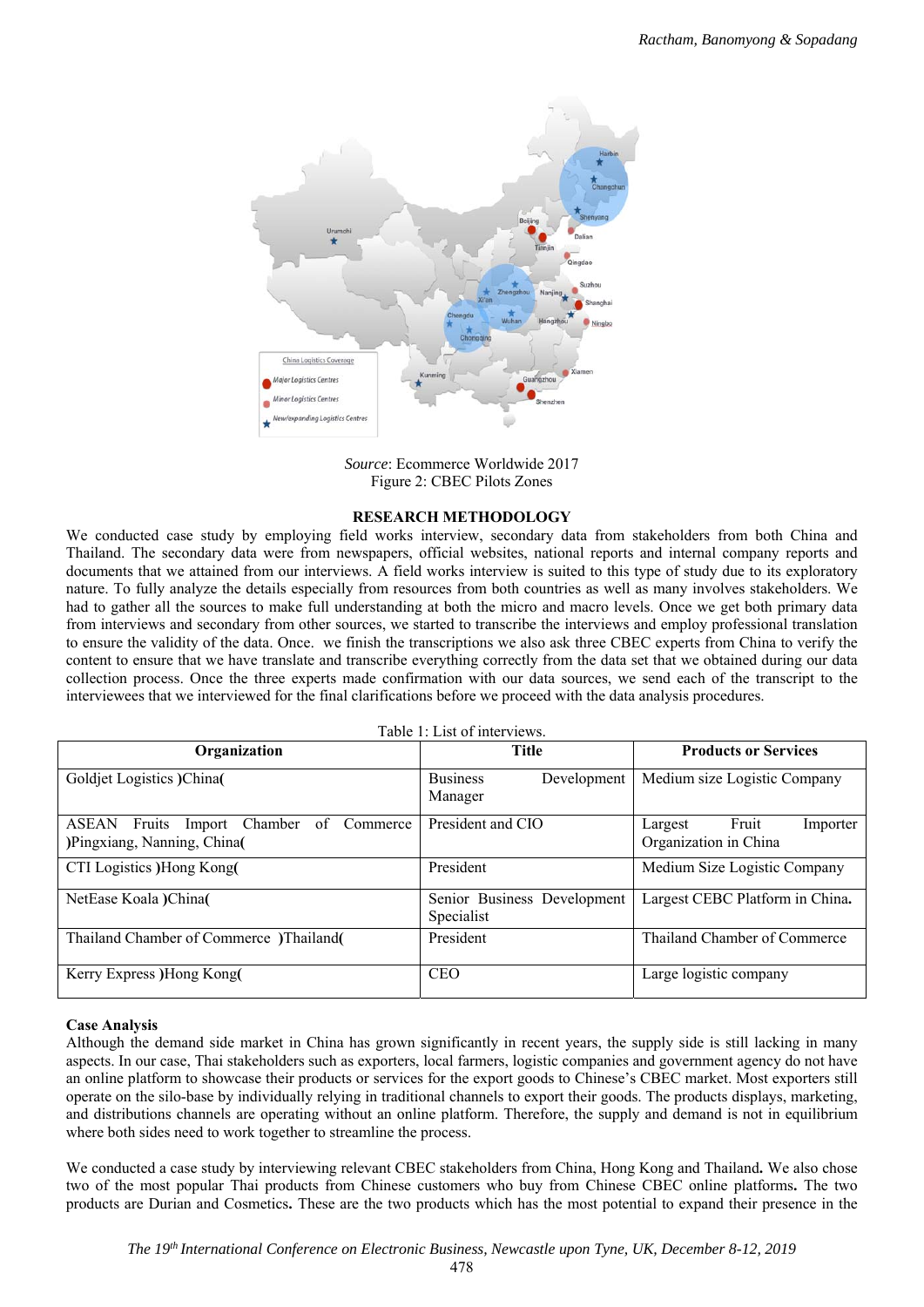

*Source*: Ecommerce Worldwide 2017 Figure 2: CBEC Pilots Zones

# **RESEARCH METHODOLOGY**

We conducted case study by employing field works interview, secondary data from stakeholders from both China and Thailand. The secondary data were from newspapers, official websites, national reports and internal company reports and documents that we attained from our interviews. A field works interview is suited to this type of study due to its exploratory nature. To fully analyze the details especially from resources from both countries as well as many involves stakeholders. We had to gather all the sources to make full understanding at both the micro and macro levels. Once we get both primary data from interviews and secondary from other sources, we started to transcribe the interviews and employ professional translation to ensure the validity of the data. Once. we finish the transcriptions we also ask three CBEC experts from China to verify the content to ensure that we have translate and transcribe everything correctly from the data set that we obtained during our data collection process. Once the three experts made confirmation with our data sources, we send each of the transcript to the interviewees that we interviewed for the final clarifications before we proceed with the data analysis procedures.

| Table 1: List of interviews.                                                              |                                           |                                                       |
|-------------------------------------------------------------------------------------------|-------------------------------------------|-------------------------------------------------------|
| Organization                                                                              | <b>Title</b>                              | <b>Products or Services</b>                           |
| Goldjet Logistics )China(                                                                 | <b>Business</b><br>Development<br>Manager | Medium size Logistic Company                          |
| Import Chamber<br><b>ASEAN</b><br>Fruits<br>of<br>Commerce<br>)Pingxiang, Nanning, China( | President and CIO                         | Fruit<br>Largest<br>Importer<br>Organization in China |
| CTI Logistics )Hong Kong(                                                                 | President                                 | Medium Size Logistic Company                          |
| NetEase Koala )China(                                                                     | Senior Business Development<br>Specialist | Largest CEBC Platform in China.                       |
| Thailand Chamber of Commerce )Thailand                                                    | President                                 | Thailand Chamber of Commerce                          |
| Kerry Express )Hong Kong(                                                                 | <b>CEO</b>                                | Large logistic company                                |

### **Case Analysis**

Although the demand side market in China has grown significantly in recent years, the supply side is still lacking in many aspects. In our case, Thai stakeholders such as exporters, local farmers, logistic companies and government agency do not have an online platform to showcase their products or services for the export goods to Chinese's CBEC market. Most exporters still operate on the silo-base by individually relying in traditional channels to export their goods. The products displays, marketing, and distributions channels are operating without an online platform. Therefore, the supply and demand is not in equilibrium where both sides need to work together to streamline the process.

We conducted a case study by interviewing relevant CBEC stakeholders from China, Hong Kong and Thailand**.** We also chose two of the most popular Thai products from Chinese customers who buy from Chinese CBEC online platforms**.** The two products are Durian and Cosmetics**.** These are the two products which has the most potential to expand their presence in the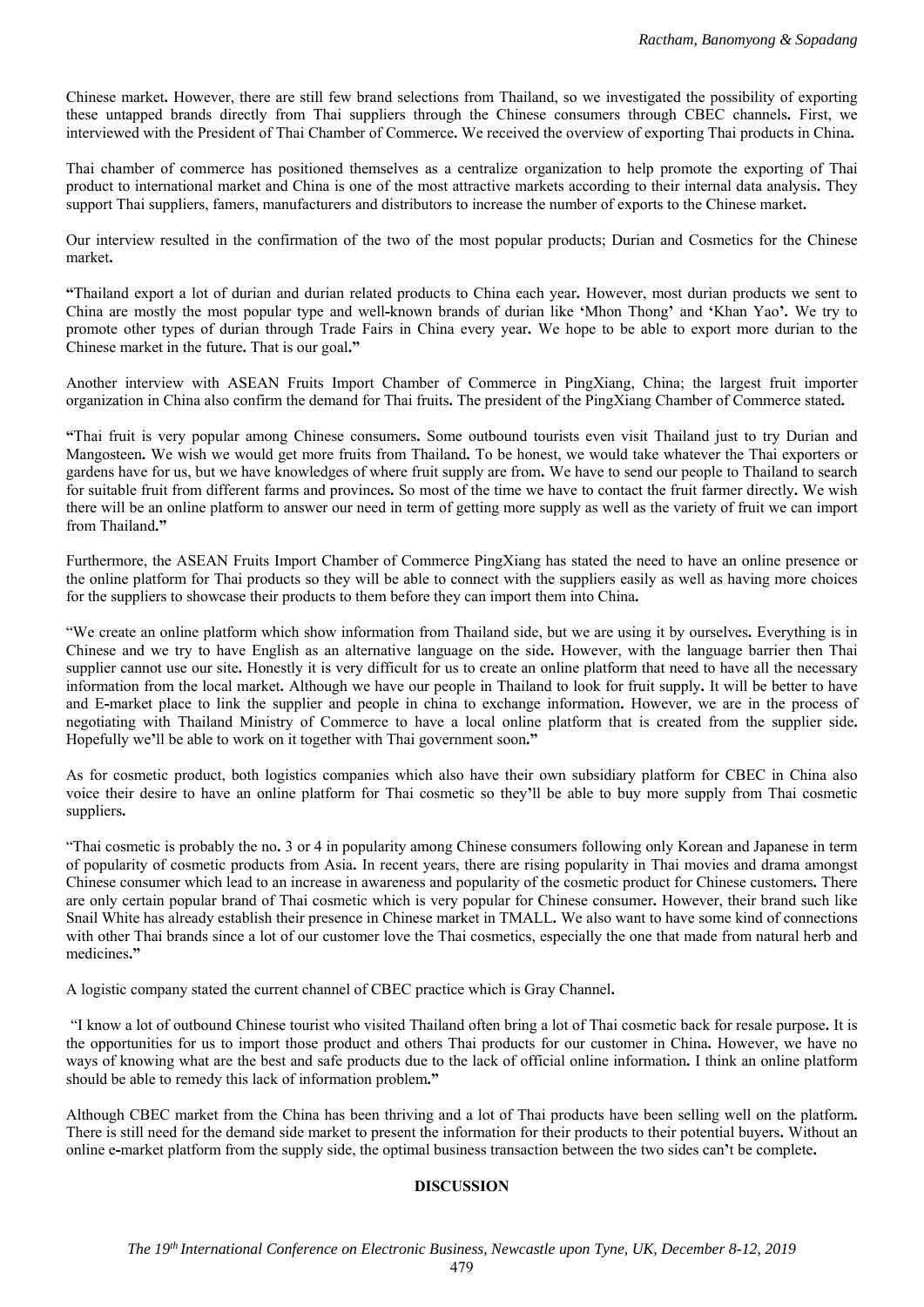Chinese market**.** However, there are still few brand selections from Thailand, so we investigated the possibility of exporting these untapped brands directly from Thai suppliers through the Chinese consumers through CBEC channels**.** First, we interviewed with the President of Thai Chamber of Commerce**.** We received the overview of exporting Thai products in China**.** 

Thai chamber of commerce has positioned themselves as a centralize organization to help promote the exporting of Thai product to international market and China is one of the most attractive markets according to their internal data analysis**.** They support Thai suppliers, famers, manufacturers and distributors to increase the number of exports to the Chinese market**.** 

Our interview resulted in the confirmation of the two of the most popular products; Durian and Cosmetics for the Chinese market**.** 

**"**Thailand export a lot of durian and durian related products to China each year**.** However, most durian products we sent to China are mostly the most popular type and well**-**known brands of durian like **'**Mhon Thong**'** and **'**Khan Yao**'.** We try to promote other types of durian through Trade Fairs in China every year**.** We hope to be able to export more durian to the Chinese market in the future**.** That is our goal**."** 

Another interview with ASEAN Fruits Import Chamber of Commerce in PingXiang, China; the largest fruit importer organization in China also confirm the demand for Thai fruits**.** The president of the PingXiang Chamber of Commerce stated**.** 

**"**Thai fruit is very popular among Chinese consumers**.** Some outbound tourists even visit Thailand just to try Durian and Mangosteen**.** We wish we would get more fruits from Thailand**.** To be honest, we would take whatever the Thai exporters or gardens have for us, but we have knowledges of where fruit supply are from**.** We have to send our people to Thailand to search for suitable fruit from different farms and provinces**.** So most of the time we have to contact the fruit farmer directly**.** We wish there will be an online platform to answer our need in term of getting more supply as well as the variety of fruit we can import from Thailand**."** 

Furthermore, the ASEAN Fruits Import Chamber of Commerce PingXiang has stated the need to have an online presence or the online platform for Thai products so they will be able to connect with the suppliers easily as well as having more choices for the suppliers to showcase their products to them before they can import them into China**.**

"We create an online platform which show information from Thailand side, but we are using it by ourselves**.** Everything is in Chinese and we try to have English as an alternative language on the side**.** However, with the language barrier then Thai supplier cannot use our site**.** Honestly it is very difficult for us to create an online platform that need to have all the necessary information from the local market**.** Although we have our people in Thailand to look for fruit supply**.** It will be better to have and E**-**market place to link the supplier and people in china to exchange information**.** However, we are in the process of negotiating with Thailand Ministry of Commerce to have a local online platform that is created from the supplier side**.**  Hopefully we**'**ll be able to work on it together with Thai government soon**."** 

As for cosmetic product, both logistics companies which also have their own subsidiary platform for CBEC in China also voice their desire to have an online platform for Thai cosmetic so they**'**ll be able to buy more supply from Thai cosmetic suppliers**.** 

"Thai cosmetic is probably the no**.** 3 or 4 in popularity among Chinese consumers following only Korean and Japanese in term of popularity of cosmetic products from Asia**.** In recent years, there are rising popularity in Thai movies and drama amongst Chinese consumer which lead to an increase in awareness and popularity of the cosmetic product for Chinese customers**.** There are only certain popular brand of Thai cosmetic which is very popular for Chinese consumer**.** However, their brand such like Snail White has already establish their presence in Chinese market in TMALL**.** We also want to have some kind of connections with other Thai brands since a lot of our customer love the Thai cosmetics, especially the one that made from natural herb and medicines**."** 

A logistic company stated the current channel of CBEC practice which is Gray Channel**.**

"I know a lot of outbound Chinese tourist who visited Thailand often bring a lot of Thai cosmetic back for resale purpose**.** It is the opportunities for us to import those product and others Thai products for our customer in China**.** However, we have no ways of knowing what are the best and safe products due to the lack of official online information**.** I think an online platform should be able to remedy this lack of information problem**."** 

Although CBEC market from the China has been thriving and a lot of Thai products have been selling well on the platform**.**  There is still need for the demand side market to present the information for their products to their potential buyers**.** Without an online e**-**market platform from the supply side, the optimal business transaction between the two sides can**'**t be complete**.**

## **DISCUSSION**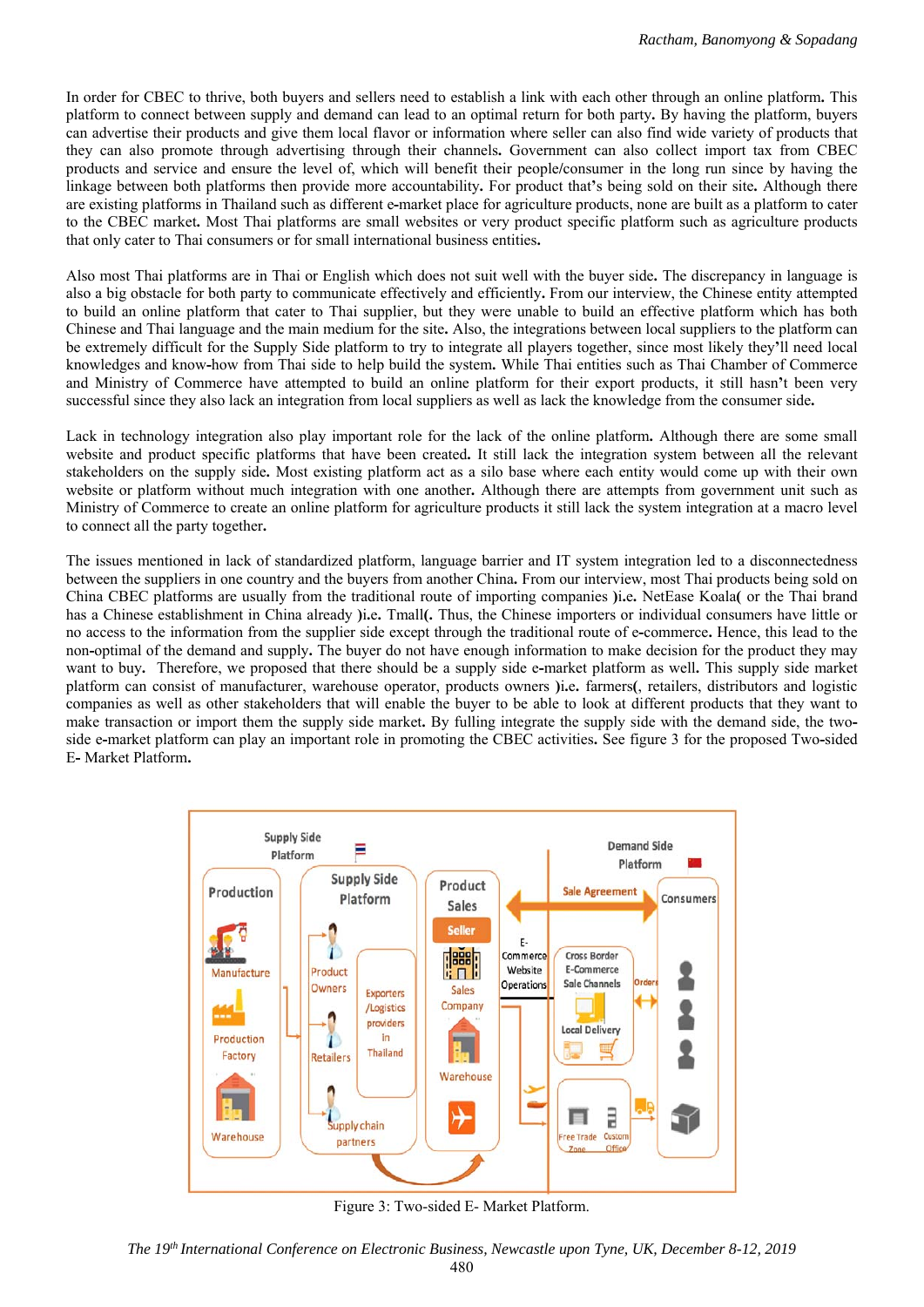In order for CBEC to thrive, both buyers and sellers need to establish a link with each other through an online platform**.** This platform to connect between supply and demand can lead to an optimal return for both party**.** By having the platform, buyers can advertise their products and give them local flavor or information where seller can also find wide variety of products that they can also promote through advertising through their channels**.** Government can also collect import tax from CBEC products and service and ensure the level of, which will benefit their people**/**consumer in the long run since by having the linkage between both platforms then provide more accountability**.** For product that**'**s being sold on their site**.** Although there are existing platforms in Thailand such as different e**-**market place for agriculture products, none are built as a platform to cater to the CBEC market**.** Most Thai platforms are small websites or very product specific platform such as agriculture products that only cater to Thai consumers or for small international business entities**.** 

Also most Thai platforms are in Thai or English which does not suit well with the buyer side**.** The discrepancy in language is also a big obstacle for both party to communicate effectively and efficiently**.** From our interview, the Chinese entity attempted to build an online platform that cater to Thai supplier, but they were unable to build an effective platform which has both Chinese and Thai language and the main medium for the site**.** Also, the integrations between local suppliers to the platform can be extremely difficult for the Supply Side platform to try to integrate all players together, since most likely they**'**ll need local knowledges and know**-**how from Thai side to help build the system**.** While Thai entities such as Thai Chamber of Commerce and Ministry of Commerce have attempted to build an online platform for their export products, it still hasn**'**t been very successful since they also lack an integration from local suppliers as well as lack the knowledge from the consumer side**.** 

Lack in technology integration also play important role for the lack of the online platform**.** Although there are some small website and product specific platforms that have been created**.** It still lack the integration system between all the relevant stakeholders on the supply side**.** Most existing platform act as a silo base where each entity would come up with their own website or platform without much integration with one another**.** Although there are attempts from government unit such as Ministry of Commerce to create an online platform for agriculture products it still lack the system integration at a macro level to connect all the party together**.** 

The issues mentioned in lack of standardized platform, language barrier and IT system integration led to a disconnectedness between the suppliers in one country and the buyers from another China**.** From our interview, most Thai products being sold on China CBEC platforms are usually from the traditional route of importing companies **)**i**.**e**.** NetEase Koala**(** or the Thai brand has a Chinese establishment in China already **)**i**.**e**.** Tmall**(.** Thus, the Chinese importers or individual consumers have little or no access to the information from the supplier side except through the traditional route of e**-**commerce**.** Hence, this lead to the non**-**optimal of the demand and supply**.** The buyer do not have enough information to make decision for the product they may want to buy**.** Therefore, we proposed that there should be a supply side e**-**market platform as well**.** This supply side market platform can consist of manufacturer, warehouse operator, products owners **)**i**.**e**.** farmers**(**, retailers, distributors and logistic companies as well as other stakeholders that will enable the buyer to be able to look at different products that they want to make transaction or import them the supply side market**.** By fulling integrate the supply side with the demand side, the twoside e**-**market platform can play an important role in promoting the CBEC activities**.** See figure 3 for the proposed Two**-**sided E**-** Market Platform**.** 



Figure 3: Two-sided E- Market Platform.

*The 19th International Conference on Electronic Business, Newcastle upon Tyne, UK, December 8-12, 2019*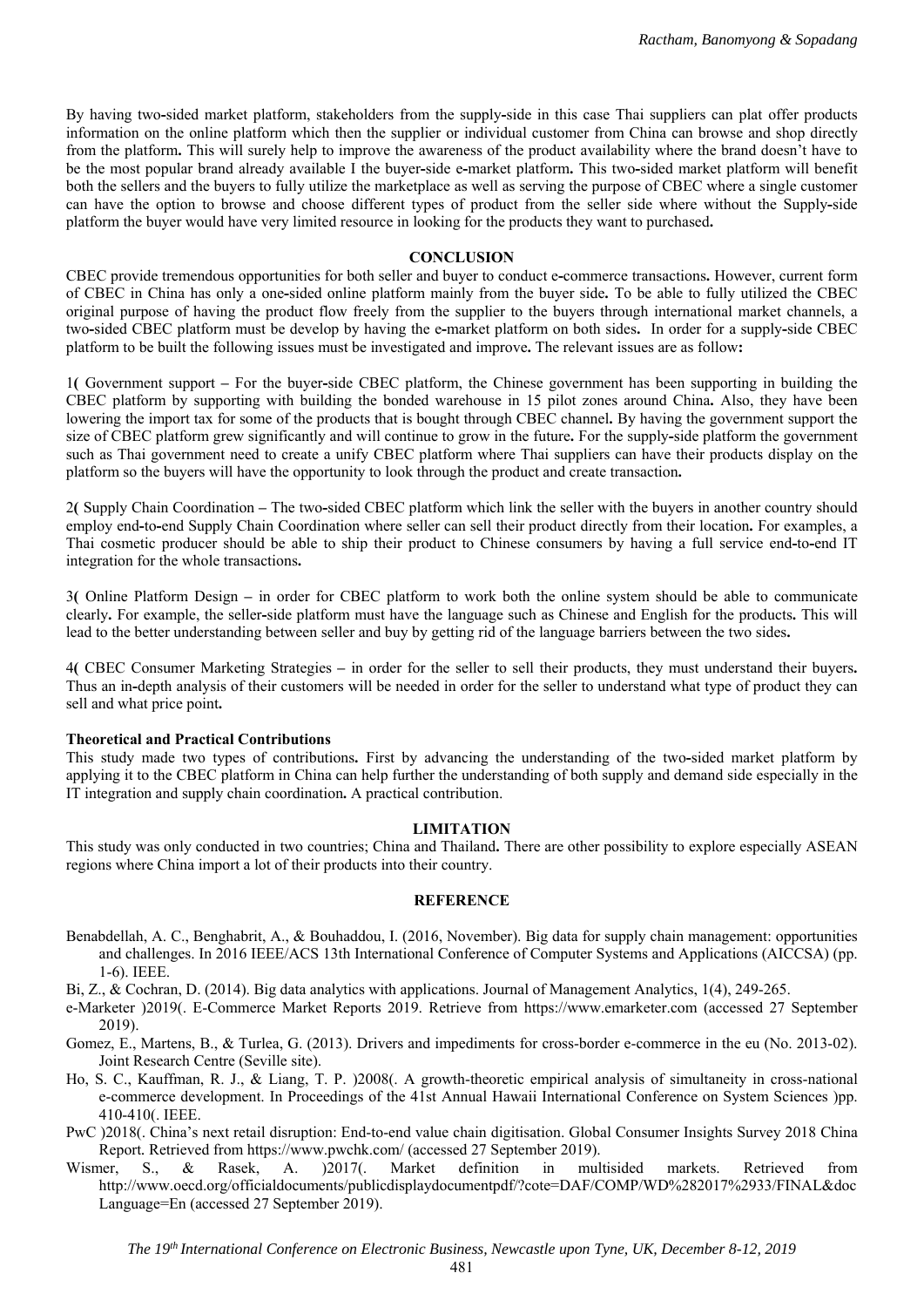By having two**-**sided market platform, stakeholders from the supply**-**side in this case Thai suppliers can plat offer products information on the online platform which then the supplier or individual customer from China can browse and shop directly from the platform**.** This will surely help to improve the awareness of the product availability where the brand doesn't have to be the most popular brand already available I the buyer**-**side e**-**market platform**.** This two**-**sided market platform will benefit both the sellers and the buyers to fully utilize the marketplace as well as serving the purpose of CBEC where a single customer can have the option to browse and choose different types of product from the seller side where without the Supply**-**side platform the buyer would have very limited resource in looking for the products they want to purchased**.**

#### **CONCLUSION**

CBEC provide tremendous opportunities for both seller and buyer to conduct e**-**commerce transactions**.** However, current form of CBEC in China has only a one**-**sided online platform mainly from the buyer side**.** To be able to fully utilized the CBEC original purpose of having the product flow freely from the supplier to the buyers through international market channels, a two**-**sided CBEC platform must be develop by having the e**-**market platform on both sides**.** In order for a supply**-**side CBEC platform to be built the following issues must be investigated and improve**.** The relevant issues are as follow**:**

1**(** Government support **–** For the buyer**-**side CBEC platform, the Chinese government has been supporting in building the CBEC platform by supporting with building the bonded warehouse in 15 pilot zones around China**.** Also, they have been lowering the import tax for some of the products that is bought through CBEC channel**.** By having the government support the size of CBEC platform grew significantly and will continue to grow in the future**.** For the supply**-**side platform the government such as Thai government need to create a unify CBEC platform where Thai suppliers can have their products display on the platform so the buyers will have the opportunity to look through the product and create transaction**.**

2**(** Supply Chain Coordination **–** The two**-**sided CBEC platform which link the seller with the buyers in another country should employ end**-**to**-**end Supply Chain Coordination where seller can sell their product directly from their location**.** For examples, a Thai cosmetic producer should be able to ship their product to Chinese consumers by having a full service end**-**to**-**end IT integration for the whole transactions**.** 

3**(** Online Platform Design **–** in order for CBEC platform to work both the online system should be able to communicate clearly**.** For example, the seller**-**side platform must have the language such as Chinese and English for the products**.** This will lead to the better understanding between seller and buy by getting rid of the language barriers between the two sides**.** 

4**(** CBEC Consumer Marketing Strategies **–** in order for the seller to sell their products, they must understand their buyers**.**  Thus an in**-**depth analysis of their customers will be needed in order for the seller to understand what type of product they can sell and what price point**.** 

#### **Theoretical and Practical Contributions**

This study made two types of contributions**.** First by advancing the understanding of the two**-**sided market platform by applying it to the CBEC platform in China can help further the understanding of both supply and demand side especially in the IT integration and supply chain coordination**.** A practical contribution.

#### **LIMITATION**

This study was only conducted in two countries; China and Thailand**.** There are other possibility to explore especially ASEAN regions where China import a lot of their products into their country.

#### **REFERENCE**

Benabdellah, A. C., Benghabrit, A., & Bouhaddou, I. (2016, November). Big data for supply chain management: opportunities and challenges. In 2016 IEEE/ACS 13th International Conference of Computer Systems and Applications (AICCSA) (pp. 1-6). IEEE.

Bi, Z., & Cochran, D. (2014). Big data analytics with applications. Journal of Management Analytics, 1(4), 249-265.

- e-Marketer )2019(. E-Commerce Market Reports 2019. Retrieve from https://www.emarketer.com (accessed 27 September 2019).
- Gomez, E., Martens, B., & Turlea, G. (2013). Drivers and impediments for cross-border e-commerce in the eu (No. 2013-02). Joint Research Centre (Seville site).
- Ho, S. C., Kauffman, R. J., & Liang, T. P. )2008(. A growth-theoretic empirical analysis of simultaneity in cross-national e-commerce development. In Proceedings of the 41st Annual Hawaii International Conference on System Sciences )pp. 410-410(. IEEE.
- PwC )2018(. China's next retail disruption: End-to-end value chain digitisation. Global Consumer Insights Survey 2018 China Report*.* Retrieved from https://www.pwchk.com/ (accessed 27 September 2019).
- Wismer, S., & Rasek, A. )2017(. Market definition in multisided markets. Retrieved from http://www.oecd.org/officialdocuments/publicdisplaydocumentpdf/?cote=DAF/COMP/WD%282017%2933/FINAL&doc Language=En (accessed 27 September 2019).